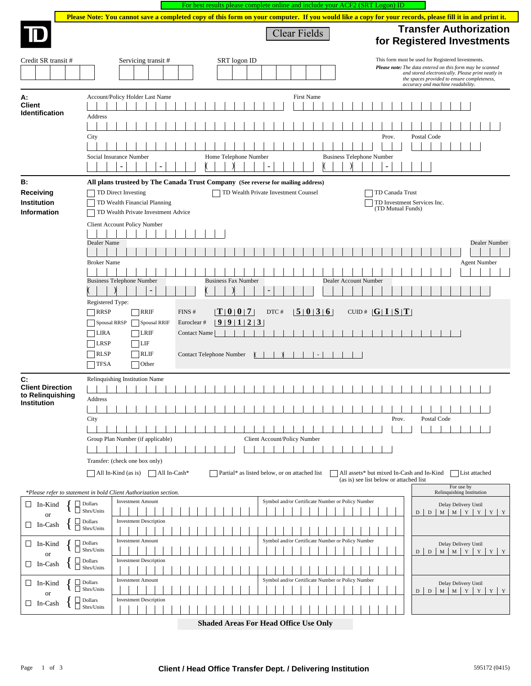|                                             | For best results please complete online and include your ACF2 (SRT Logon) ID                                                                            |                                                                                                                                                                                                                                                          |
|---------------------------------------------|---------------------------------------------------------------------------------------------------------------------------------------------------------|----------------------------------------------------------------------------------------------------------------------------------------------------------------------------------------------------------------------------------------------------------|
|                                             | Please Note: You cannot save a completed copy of this form on your computer. If you would like a copy for your records, please fill it in and print it. |                                                                                                                                                                                                                                                          |
|                                             | Clear Fields                                                                                                                                            | <b>Transfer Authorization</b><br>for Registered Investments                                                                                                                                                                                              |
| Credit SR transit #                         | Servicing transit #<br>SRT logon ID                                                                                                                     | This form must be used for Registered Investments.<br>Please note: The data entered on this form may be scanned<br>and stored electronically. Please print neatly in<br>the spaces provided to ensure completeness,<br>accuracy and machine readability. |
| А:<br><b>Client</b><br>Identification       | Account/Policy Holder Last Name<br><b>First Name</b><br>Address                                                                                         |                                                                                                                                                                                                                                                          |
|                                             | City<br>Home Telephone Number<br><b>Business Telephone Number</b><br>Social Insurance Number<br>٠                                                       | Postal Code<br>Prov.                                                                                                                                                                                                                                     |
| В:                                          | All plans trusteed by The Canada Trust Company (See reverse for mailing address)                                                                        |                                                                                                                                                                                                                                                          |
| Receiving                                   | TD Direct Investing<br>TD Wealth Private Investment Counsel                                                                                             | TD Canada Trust                                                                                                                                                                                                                                          |
| Institution<br>Information                  | TD Wealth Financial Planning<br>TD Wealth Private Investment Advice                                                                                     | TD Investment Services Inc.<br>(TD Mutual Funds)                                                                                                                                                                                                         |
|                                             | Client Account Policy Number                                                                                                                            |                                                                                                                                                                                                                                                          |
|                                             | Dealer Name                                                                                                                                             | Dealer Number                                                                                                                                                                                                                                            |
|                                             |                                                                                                                                                         |                                                                                                                                                                                                                                                          |
|                                             | <b>Broker Name</b>                                                                                                                                      | <b>Agent Number</b>                                                                                                                                                                                                                                      |
|                                             |                                                                                                                                                         |                                                                                                                                                                                                                                                          |
|                                             | <b>Business Telephone Number</b><br><b>Business Fax Number</b><br>Dealer Account Number                                                                 |                                                                                                                                                                                                                                                          |
|                                             | Registered Type:                                                                                                                                        |                                                                                                                                                                                                                                                          |
|                                             | 5 0 3 6 <br>$\lfloor T \rfloor 0 \rfloor 0 \rfloor 7$<br><b>RRSP</b><br><b>RRIF</b><br>FINS#<br>DTC#                                                    | CUID# $ G I S T $                                                                                                                                                                                                                                        |
|                                             | 99123<br>Spousal RRSP<br><b>Spousal RRIF</b><br>Euroclear#                                                                                              |                                                                                                                                                                                                                                                          |
|                                             | <b>LIRA</b><br>$\neg$ LRIF<br><b>Contact Name</b>                                                                                                       |                                                                                                                                                                                                                                                          |
|                                             | LRSP<br>$^{\dagger}$ LIF                                                                                                                                |                                                                                                                                                                                                                                                          |
|                                             | <b>RLSP</b><br><b>RLIF</b><br>Contact Telephone Number<br><b>TFSA</b><br>Other                                                                          |                                                                                                                                                                                                                                                          |
| C:                                          | Relinquishing Institution Name                                                                                                                          |                                                                                                                                                                                                                                                          |
| <b>Client Direction</b><br>to Relinquishing |                                                                                                                                                         |                                                                                                                                                                                                                                                          |
| <b>Institution</b>                          | Address                                                                                                                                                 |                                                                                                                                                                                                                                                          |
|                                             | City                                                                                                                                                    | Postal Code<br>Prov.                                                                                                                                                                                                                                     |
|                                             |                                                                                                                                                         |                                                                                                                                                                                                                                                          |
|                                             | Client Account/Policy Number<br>Group Plan Number (if applicable)                                                                                       |                                                                                                                                                                                                                                                          |
|                                             |                                                                                                                                                         |                                                                                                                                                                                                                                                          |
|                                             | Transfer: (check one box only)                                                                                                                          |                                                                                                                                                                                                                                                          |
|                                             | All In-Kind (as is) All In-Cash*<br>Partial* as listed below, or on attached list                                                                       | All assets* but mixed In-Cash and In-Kind<br>$\Box$ List attached<br>(as is) see list below or attached list                                                                                                                                             |
|                                             | *Please refer to statement in bold Client Authorization section.                                                                                        | For use by<br>Relinquishing Institution                                                                                                                                                                                                                  |
| $\Box$ In-Kind                              | <b>Investment Amount</b><br>Symbol and/or Certificate Number or Policy Number<br>$\Box$ Dollars                                                         | Delay Delivery Until                                                                                                                                                                                                                                     |
| <b>or</b><br>$\Box$ In-Cash                 | Shrs/Units<br><b>Investment Description</b><br>Dollars                                                                                                  | $M$ $M$ $Y$ $Y$<br>Y Y<br>${\rm D}$<br>D                                                                                                                                                                                                                 |
|                                             | $\Box$ Shrs/Units                                                                                                                                       |                                                                                                                                                                                                                                                          |
| $\Box$ In-Kind<br>or                        | Symbol and/or Certificate Number or Policy Number<br><b>Investment Amount</b><br>$\Box$ Dollars<br>Shrs/Units                                           | Delay Delivery Until<br>M M Y Y Y Y<br>$D$   D                                                                                                                                                                                                           |
| $\Box$ In-Cash                              | $\Box$ Dollars<br><b>Investment Description</b><br>Shrs/Units                                                                                           |                                                                                                                                                                                                                                                          |
| $\Box$ In-Kind                              | Symbol and/or Certificate Number or Policy Number<br><b>Investment Amount</b><br>Dollars<br>Shrs/Units                                                  | Delay Delivery Until<br>$M$ $M$ $Y$<br>Y<br>${\rm D}$<br>Y Y<br>D                                                                                                                                                                                        |
| <b>or</b><br>$\Box$ In-Cash                 | Dollars<br><b>Investment Description</b><br>$\Box$ Shrs/Units                                                                                           |                                                                                                                                                                                                                                                          |
|                                             |                                                                                                                                                         |                                                                                                                                                                                                                                                          |

**Shaded Areas For Head Office Use Only**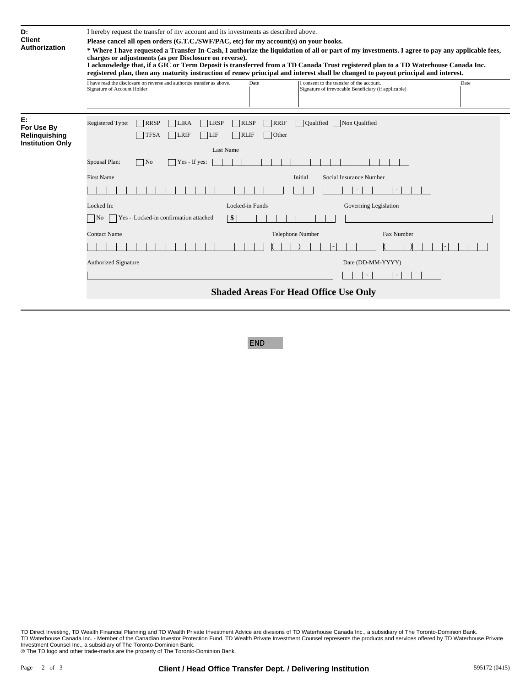| D:<br><b>Client</b><br>Authorization                         | I hereby request the transfer of my account and its investments as described above.<br>Please cancel all open orders (G.T.C./SWF/PAC, etc) for my account(s) on your books.<br>* Where I have requested a Transfer In-Cash, I authorize the liquidation of all or part of my investments. I agree to pay any applicable fees,<br>charges or adjustments (as per Disclosure on reverse).<br>I acknowledge that, if a GIC or Term Deposit is transferred from a TD Canada Trust registered plan to a TD Waterhouse Canada Inc.<br>registered plan, then any maturity instruction of renew principal and interest shall be changed to payout principal and interest. |  |
|--------------------------------------------------------------|-------------------------------------------------------------------------------------------------------------------------------------------------------------------------------------------------------------------------------------------------------------------------------------------------------------------------------------------------------------------------------------------------------------------------------------------------------------------------------------------------------------------------------------------------------------------------------------------------------------------------------------------------------------------|--|
|                                                              | I have read the disclosure on reverse and authorize transfer as above.<br>Date<br>I consent to the transfer of the account.<br>Date<br>Signature of irrevocable Beneficiary (if applicable)<br>Signature of Account Holder                                                                                                                                                                                                                                                                                                                                                                                                                                        |  |
| E:<br>For Use By<br>Relinguishing<br><b>Institution Only</b> | Registered Type:<br>RRSP<br><b>LRSP</b><br>RLSP<br><b>RRIF</b><br><b>Oualified</b><br>Non Qualified<br><b>LIRA</b><br>LIF<br><b>RLIF</b><br><b>TFSA</b><br><b>TLRIF</b><br>Other<br><b>Last Name</b><br>Spousal Plan:<br>N <sub>0</sub><br>$\Box$ Yes - If yes:<br><b>First Name</b><br>Initial<br>Social Insurance Number                                                                                                                                                                                                                                                                                                                                        |  |
|                                                              |                                                                                                                                                                                                                                                                                                                                                                                                                                                                                                                                                                                                                                                                   |  |
|                                                              |                                                                                                                                                                                                                                                                                                                                                                                                                                                                                                                                                                                                                                                                   |  |
|                                                              |                                                                                                                                                                                                                                                                                                                                                                                                                                                                                                                                                                                                                                                                   |  |
|                                                              | Locked In:<br>Locked-in Funds<br>Governing Legislation                                                                                                                                                                                                                                                                                                                                                                                                                                                                                                                                                                                                            |  |
|                                                              | Yes - Locked-in confirmation attached<br>$\frac{1}{2}$<br>No.                                                                                                                                                                                                                                                                                                                                                                                                                                                                                                                                                                                                     |  |
|                                                              | <b>Contact Name</b><br>Telephone Number<br>Fax Number                                                                                                                                                                                                                                                                                                                                                                                                                                                                                                                                                                                                             |  |
|                                                              |                                                                                                                                                                                                                                                                                                                                                                                                                                                                                                                                                                                                                                                                   |  |
|                                                              | <b>Authorized Signature</b><br>Date (DD-MM-YYYY)                                                                                                                                                                                                                                                                                                                                                                                                                                                                                                                                                                                                                  |  |
|                                                              |                                                                                                                                                                                                                                                                                                                                                                                                                                                                                                                                                                                                                                                                   |  |
|                                                              | <b>Shaded Areas For Head Office Use Only</b>                                                                                                                                                                                                                                                                                                                                                                                                                                                                                                                                                                                                                      |  |
|                                                              |                                                                                                                                                                                                                                                                                                                                                                                                                                                                                                                                                                                                                                                                   |  |

# END

TD Direct Investing, TD Wealth Financial Planning and TD Wealth Private Investment Advice are divisions of TD Waterhouse Canada Inc., a subsidiary of The Toronto-Dominion Bank.<br>ITD Waterhouse Canada Inc. - Member of the C